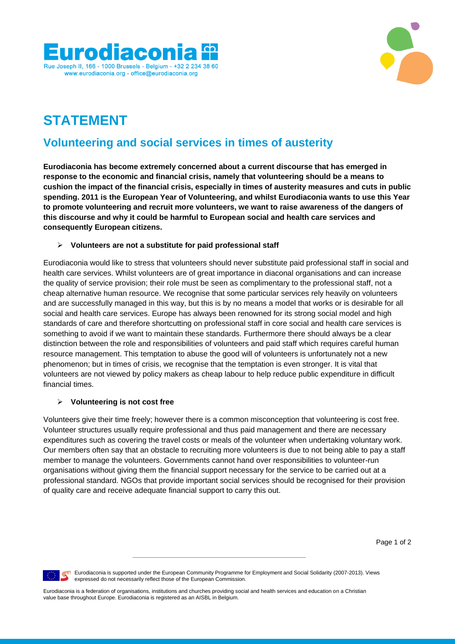



# **STATEMENT**

# **Volunteering and social services in times of austerity**

**Eurodiaconia has become extremely concerned about a current discourse that has emerged in response to the economic and financial crisis, namely that volunteering should be a means to cushion the impact of the financial crisis, especially in times of austerity measures and cuts in public spending. 2011 is the European Year of Volunteering, and whilst Eurodiaconia wants to use this Year to promote volunteering and recruit more volunteers, we want to raise awareness of the dangers of this discourse and why it could be harmful to European social and health care services and consequently European citizens.** 

#### **Volunteers are not a substitute for paid professional staff**

Eurodiaconia would like to stress that volunteers should never substitute paid professional staff in social and health care services. Whilst volunteers are of great importance in diaconal organisations and can increase the quality of service provision; their role must be seen as complimentary to the professional staff, not a cheap alternative human resource. We recognise that some particular services rely heavily on volunteers and are successfully managed in this way, but this is by no means a model that works or is desirable for all social and health care services. Europe has always been renowned for its strong social model and high standards of care and therefore shortcutting on professional staff in core social and health care services is something to avoid if we want to maintain these standards. Furthermore there should always be a clear distinction between the role and responsibilities of volunteers and paid staff which requires careful human resource management. This temptation to abuse the good will of volunteers is unfortunately not a new phenomenon; but in times of crisis, we recognise that the temptation is even stronger. It is vital that volunteers are not viewed by policy makers as cheap labour to help reduce public expenditure in difficult financial times.

### **Volunteering is not cost free**

Volunteers give their time freely; however there is a common misconception that volunteering is cost free. Volunteer structures usually require professional and thus paid management and there are necessary expenditures such as covering the travel costs or meals of the volunteer when undertaking voluntary work. Our members often say that an obstacle to recruiting more volunteers is due to not being able to pay a staff member to manage the volunteers. Governments cannot hand over responsibilities to volunteer-run organisations without giving them the financial support necessary for the service to be carried out at a professional standard. NGOs that provide important social services should be recognised for their provision of quality care and receive adequate financial support to carry this out.

Page 1 of 2



**Eurodiaconia is supported under the European Community Programme for Employment and Social Solidarity (2007-2013). Views** expressed do not necessarily reflect those of the European Commission.

Eurodiaconia is a federation of organisations, institutions and churches providing social and health services and education on a Christian value base throughout Europe. Eurodiaconia is registered as an AISBL in Belgium.